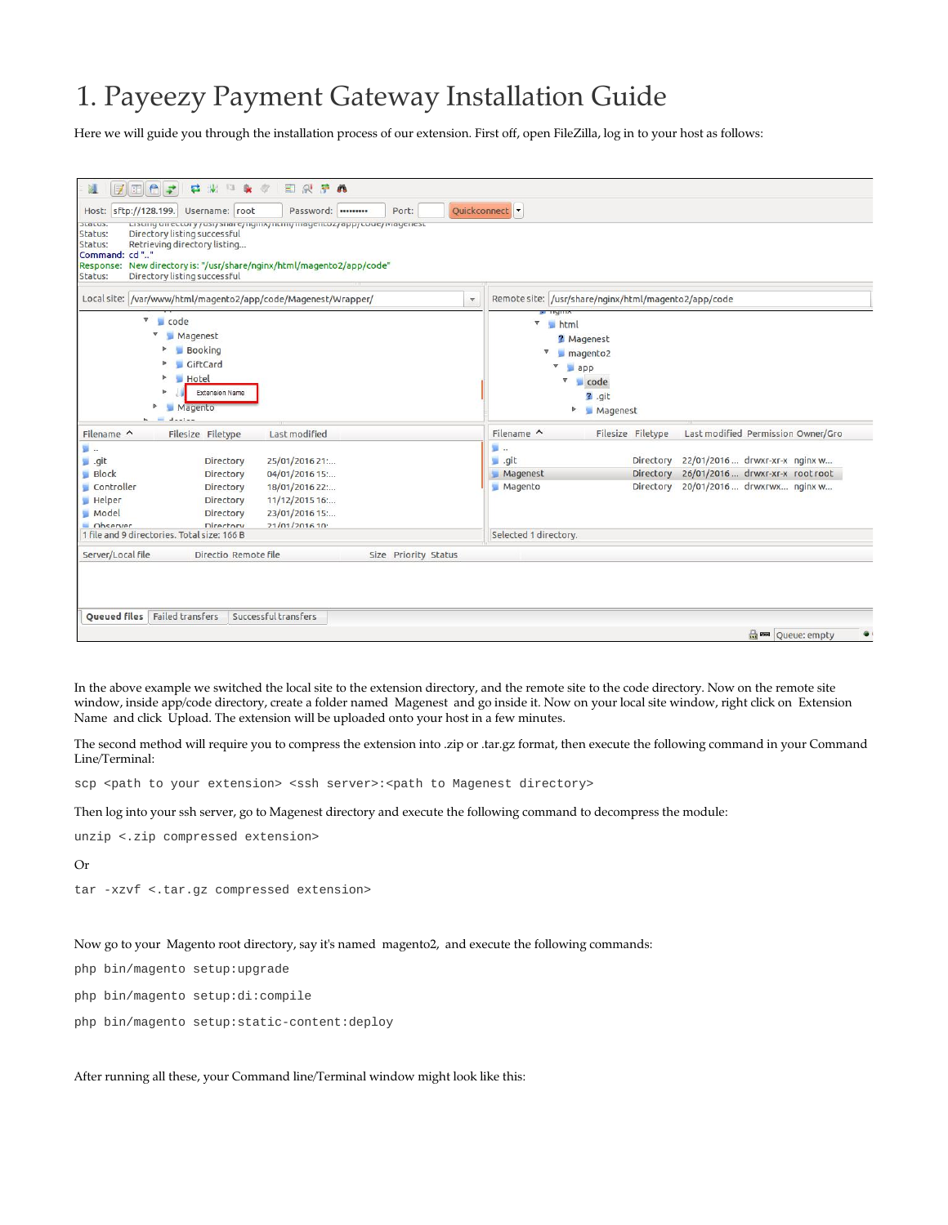## 1. Payeezy Payment Gateway Installation Guide

Here we will guide you through the installation process of our extension. First off, open FileZilla, log in to your host as follows:

| Host: sftp://128.199.<br>acacus.<br>Status:<br>Status:<br>Command: cd""<br>Response:<br>Status: | Username: root<br>Directory listing successful<br>Retrieving directory listing<br>Directory listing successful | Password:  <br>Listing on ectory / usi/share/ngmx/ntmi/magentoz/app/coue/magenest<br>New directory is: "/usr/share/nginx/html/magento2/app/code" | Port:                   | Quickconnect                                                  |                                                                                 |                                                                                                |  |
|-------------------------------------------------------------------------------------------------|----------------------------------------------------------------------------------------------------------------|--------------------------------------------------------------------------------------------------------------------------------------------------|-------------------------|---------------------------------------------------------------|---------------------------------------------------------------------------------|------------------------------------------------------------------------------------------------|--|
|                                                                                                 |                                                                                                                | Local site: /var/www/html/magento2/app/code/Magenest/Wrapper/                                                                                    | $\overline{\mathbf{v}}$ | Remote site: /usr/share/nginx/html/magento2/app/code          |                                                                                 |                                                                                                |  |
| $\sqrt{\phantom{a}}$ code<br>ь                                                                  | Magenest<br>Booking<br>GiftCard<br><b>Hotel</b><br><b>Extension Name</b><br>Magento                            |                                                                                                                                                  |                         | <b>PERMIT</b><br>$\boldsymbol{\nabla}$<br>html<br>▼<br>v<br>▼ | ? Magenest<br>$\n  m a q e n t o 2$<br>app<br>code<br>$2$ .git<br>Þ<br>Magenest |                                                                                                |  |
| Filename ^                                                                                      | Filesize Filetype                                                                                              | Last modified                                                                                                                                    |                         | Filename $\wedge$                                             | Filesize Filetype                                                               | Last modified Permission Owner/Gro                                                             |  |
| 틸<br>.git<br>Block<br>Controller<br><b>Helper</b><br>Model<br>Observer                          | Directory<br>Directory<br>Directory<br>Directory<br>Directory<br>Directory                                     | 25/01/2016 21:<br>04/01/2016 15:<br>18/01/2016 22:<br>11/12/2015 16:<br>23/01/2016 15:<br>21/01/201610                                           |                         | 图<br>__ .git<br>Magenest<br>Magento                           | Directory<br>Directory<br>Directory                                             | 22/01/2016 drwxr-xr-x nginx w<br>26/01/2016 drwxr-xr-x root root<br>20/01/2016 drwxrwx nginx w |  |
| 1 file and 9 directories. Total size: 166 B                                                     |                                                                                                                |                                                                                                                                                  |                         | Selected 1 directory.                                         |                                                                                 |                                                                                                |  |
| Server/Local file<br><b>Oueued files</b> Failed transfers                                       | Directio Remote file                                                                                           | Successful transfers                                                                                                                             | Size Priority Status    |                                                               |                                                                                 | <b>Red</b>   Queue: empty                                                                      |  |

In the above example we switched the local site to the extension directory, and the remote site to the code directory. Now on the remote site window, inside app/code directory, create a folder named Magenest and go inside it. Now on your local site window, right click on Extension Name and click Upload. The extension will be uploaded onto your host in a few minutes.

The second method will require you to compress the extension into .zip or .tar.gz format, then execute the following command in your Command Line/Terminal:

scp <path to your extension> <ssh server>:<path to Magenest directory>

Then log into your ssh server, go to Magenest directory and execute the following command to decompress the module:

```
unzip <.zip compressed extension>
```
Or

tar -xzvf <.tar.gz compressed extension>

## Now go to your Magento root directory, say it's named magento2, and execute the following commands:

php bin/magento setup:upgrade

php bin/magento setup:di:compile

php bin/magento setup:static-content:deploy

After running all these, your Command line/Terminal window might look like this: